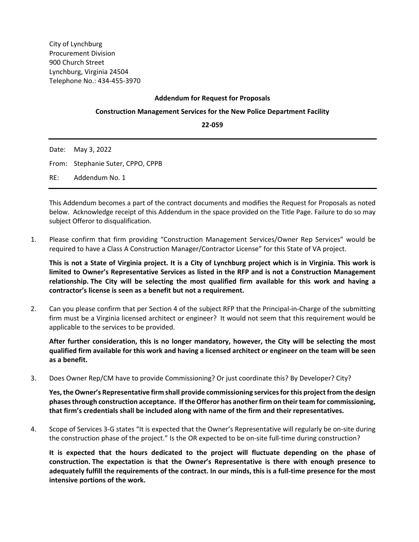City of Lynchburg Procurement Division 900 Church Street Lynchburg, Virginia 24504 Telephone No.: 434‐455‐3970

## **Addendum for Request for Proposals**

## **Construction Management Services for the New Police Department Facility**

**22‐059**

| Date: May 3, 2022                 |
|-----------------------------------|
| From: Stephanie Suter, CPPO, CPPB |
| RE: Addendum No. 1                |

This Addendum becomes a part of the contract documents and modifies the Request for Proposals as noted below. Acknowledge receipt of this Addendum in the space provided on the Title Page. Failure to do so may subject Offeror to disqualification.

1. Please confirm that firm providing "Construction Management Services/Owner Rep Services" would be required to have a Class A Construction Manager/Contractor License" for this State of VA project.

**This is not a State of Virginia project. It is a City of Lynchburg project which is in Virginia. This work is limited to Owner's Representative Services as listed in the RFP and is not a Construction Management relationship. The City will be selecting the most qualified firm available for this work and having a contractor's license is seen as a benefit but not a requirement.** 

2. Can you please confirm that per Section 4 of the subject RFP that the Principal‐in‐Charge of the submitting firm must be a Virginia licensed architect or engineer? It would not seem that this requirement would be applicable to the services to be provided.

**After further consideration, this is no longer mandatory, however, the City will be selecting the most qualified firm available for this work and having a licensed architect or engineer on the team will be seen as a benefit.** 

3. Does Owner Rep/CM have to provide Commissioning? Or just coordinate this? By Developer? City?

**Yes, the Owner's Representative firm shall provide commissioning services for this project from the design phases through construction acceptance. If the Offeror has another firm on their team for commissioning, that firm's credentials shall be included along with name of the firm and their representatives.** 

4. Scope of Services 3-G states "It is expected that the Owner's Representative will regularly be on-site during the construction phase of the project." Is the OR expected to be on‐site full‐time during construction?

**It is expected that the hours dedicated to the project will fluctuate depending on the phase of construction. The expectation is that the Owner's Representative is there with enough presence to adequately fulfill the requirements of the contract. In our minds, this is a full‐time presence for the most intensive portions of the work.**